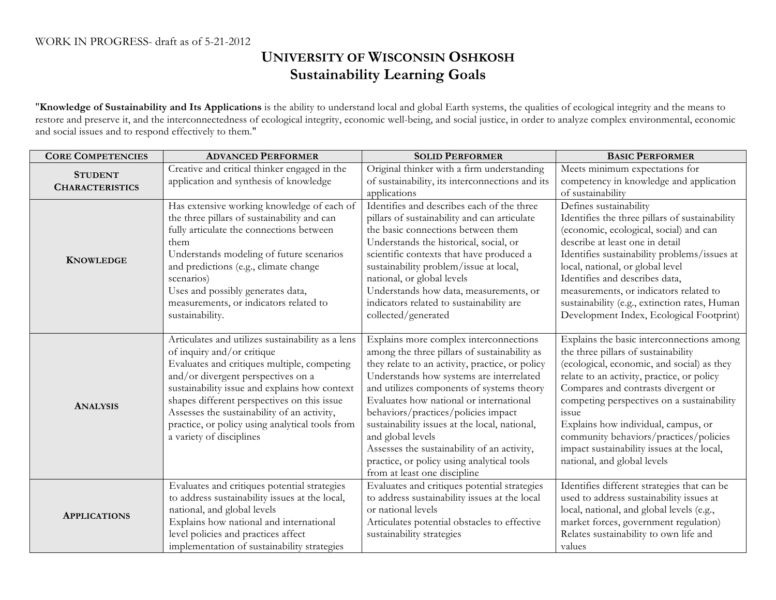## **UNIVERSITY OF WISCONSIN OSHKOSH Sustainability Learning Goals**

"**Knowledge of Sustainability and Its Applications** is the ability to understand local and global Earth systems, the qualities of ecological integrity and the means to restore and preserve it, and the interconnectedness of ecological integrity, economic well-being, and social justice, in order to analyze complex environmental, economic and social issues and to respond effectively to them."

| <b>CORE COMPETENCIES</b>                 | <b>ADVANCED PERFORMER</b>                         | <b>SOLID PERFORMER</b>                                              | <b>BASIC PERFORMER</b>                         |
|------------------------------------------|---------------------------------------------------|---------------------------------------------------------------------|------------------------------------------------|
| <b>STUDENT</b><br><b>CHARACTERISTICS</b> | Creative and critical thinker engaged in the      | Original thinker with a firm understanding                          | Meets minimum expectations for                 |
|                                          | application and synthesis of knowledge            | of sustainability, its interconnections and its                     | competency in knowledge and application        |
|                                          |                                                   | applications                                                        | of sustainability                              |
| <b>KNOWLEDGE</b>                         | Has extensive working knowledge of each of        | Identifies and describes each of the three                          | Defines sustainability                         |
|                                          | the three pillars of sustainability and can       | pillars of sustainability and can articulate                        | Identifies the three pillars of sustainability |
|                                          | fully articulate the connections between          | the basic connections between them                                  | (economic, ecological, social) and can         |
|                                          | them                                              | Understands the historical, social, or                              | describe at least one in detail                |
|                                          | Understands modeling of future scenarios          | scientific contexts that have produced a                            | Identifies sustainability problems/issues at   |
|                                          | and predictions (e.g., climate change             | sustainability problem/issue at local,                              | local, national, or global level               |
|                                          | scenarios)                                        | national, or global levels                                          | Identifies and describes data,                 |
|                                          | Uses and possibly generates data,                 | Understands how data, measurements, or                              | measurements, or indicators related to         |
|                                          | measurements, or indicators related to            | indicators related to sustainability are                            | sustainability (e.g., extinction rates, Human  |
|                                          | sustainability.                                   | collected/generated                                                 | Development Index, Ecological Footprint)       |
|                                          |                                                   |                                                                     |                                                |
| <b>ANALYSIS</b>                          | Articulates and utilizes sustainability as a lens | Explains more complex interconnections                              | Explains the basic interconnections among      |
|                                          | of inquiry and/or critique                        | among the three pillars of sustainability as                        | the three pillars of sustainability            |
|                                          | Evaluates and critiques multiple, competing       | they relate to an activity, practice, or policy                     | (ecological, economic, and social) as they     |
|                                          | and/or divergent perspectives on a                | Understands how systems are interrelated                            | relate to an activity, practice, or policy     |
|                                          | sustainability issue and explains how context     | and utilizes components of systems theory                           | Compares and contrasts divergent or            |
|                                          | shapes different perspectives on this issue       | Evaluates how national or international                             | competing perspectives on a sustainability     |
|                                          | Assesses the sustainability of an activity,       | behaviors/practices/policies impact                                 | issue                                          |
|                                          | practice, or policy using analytical tools from   | sustainability issues at the local, national,                       | Explains how individual, campus, or            |
|                                          | a variety of disciplines                          | and global levels                                                   | community behaviors/practices/policies         |
|                                          |                                                   | Assesses the sustainability of an activity,                         | impact sustainability issues at the local,     |
|                                          |                                                   | practice, or policy using analytical tools                          | national, and global levels                    |
|                                          |                                                   | from at least one discipline                                        |                                                |
| <b>APPLICATIONS</b>                      | Evaluates and critiques potential strategies      | Evaluates and critiques potential strategies                        | Identifies different strategies that can be    |
|                                          | to address sustainability issues at the local,    | to address sustainability issues at the local<br>or national levels | used to address sustainability issues at       |
|                                          | national, and global levels                       |                                                                     | local, national, and global levels (e.g.,      |
|                                          | Explains how national and international           | Articulates potential obstacles to effective                        | market forces, government regulation)          |
|                                          | level policies and practices affect               | sustainability strategies                                           | Relates sustainability to own life and         |
|                                          | implementation of sustainability strategies       |                                                                     | values                                         |